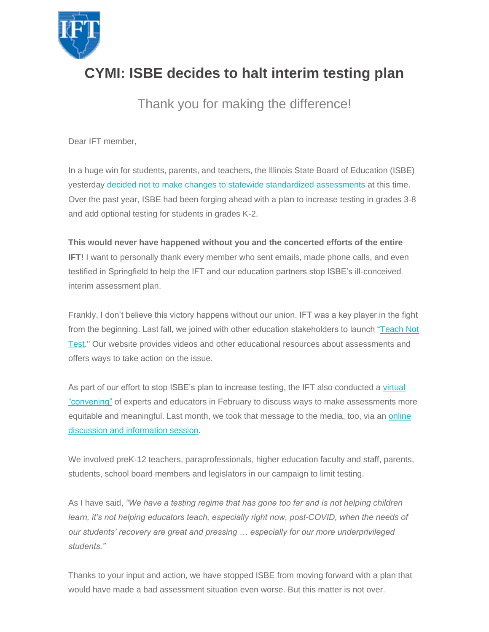

## **CYMI: ISBE decides to halt interim testing plan**

Thank you for making the difference!

Dear IFT member,

In a huge win for students, parents, and teachers, the Illinois State Board of Education (ISBE) yesterday [decided not to make changes to statewide standardized assessments](https://ift-aft.us16.list-manage.com/track/click?u=1a8107d016431adaa1ab85e54&id=82e22ddc1f&e=77ab6e74e0) at this time. Over the past year, ISBE had been forging ahead with a plan to increase testing in grades 3-8 and add optional testing for students in grades K-2.

## **This would never have happened without you and the concerted efforts of the entire**

**IFT!** I want to personally thank every member who sent emails, made phone calls, and even testified in Springfield to help the IFT and our education partners stop ISBE's ill-conceived interim assessment plan.

Frankly, I don't believe this victory happens without our union. IFT was a key player in the fight from the beginning. Last fall, we joined with other education stakeholders to launch "Teach Not [Test.](https://ift-aft.us16.list-manage.com/track/click?u=1a8107d016431adaa1ab85e54&id=276db6ea20&e=77ab6e74e0)" Our website provides videos and other educational resources about assessments and offers ways to take action on the issue.

As part of our effort to stop ISBE's plan to increase testing, the IFT also conducted a [virtual](https://ift-aft.us16.list-manage.com/track/click?u=1a8107d016431adaa1ab85e54&id=9662769f44&e=77ab6e74e0)  ["convening"](https://ift-aft.us16.list-manage.com/track/click?u=1a8107d016431adaa1ab85e54&id=9662769f44&e=77ab6e74e0) of experts and educators in February to discuss ways to make assessments more equitable and meaningful. Last month, we took that message to the media, too, via an online [discussion and information session.](https://ift-aft.us16.list-manage.com/track/click?u=1a8107d016431adaa1ab85e54&id=28c4ce6984&e=77ab6e74e0)

We involved preK-12 teachers, paraprofessionals, higher education faculty and staff, parents, students, school board members and legislators in our campaign to limit testing.

As I have said, *"We have a testing regime that has gone too far and is not helping children*  learn, it's not helping educators teach, especially right now, post-COVID, when the needs of *our students' recovery are great and pressing … especially for our more underprivileged students."*

Thanks to your input and action, we have stopped ISBE from moving forward with a plan that would have made a bad assessment situation even worse. But this matter is not over.